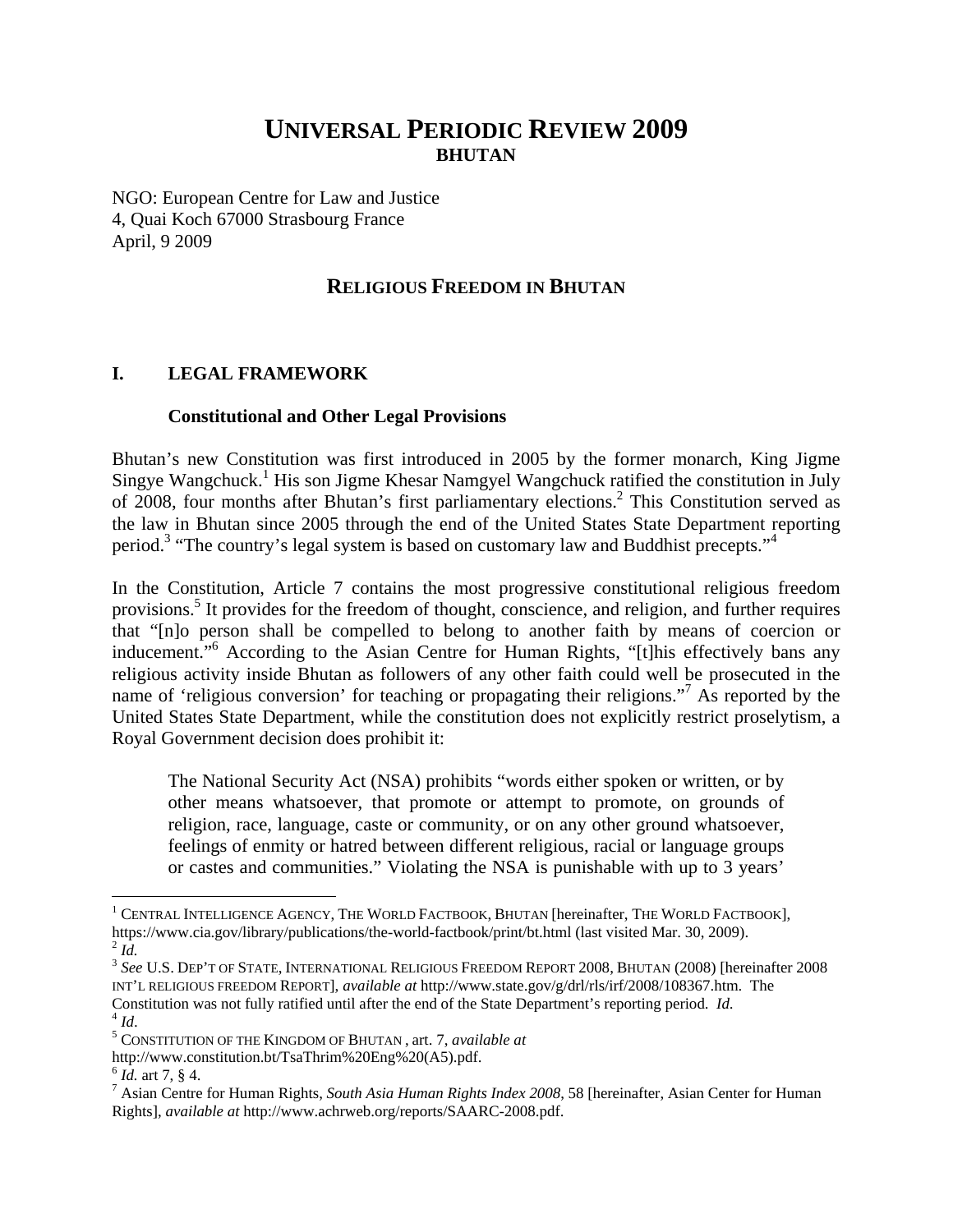# **UNIVERSAL PERIODIC REVIEW 2009 BHUTAN**

NGO: European Centre for Law and Justice 4, Quai Koch 67000 Strasbourg France April, 9 2009

## **RELIGIOUS FREEDOM IN BHUTAN**

#### **I. LEGAL FRAMEWORK**

#### **Constitutional and Other Legal Provisions**

Bhutan's new Constitution was first introduced in 2005 by the former monarch, King Jigme Singye Wangchuck.<sup>1</sup> His son Jigme Khesar Namgyel Wangchuck ratified the constitution in July of 2008, four months after Bhutan's first parliamentary elections.<sup>2</sup> This Constitution served as the law in Bhutan since 2005 through the end of the United States State Department reporting period.<sup>3</sup> "The country's legal system is based on customary law and Buddhist precepts."<sup>4</sup>

In the Constitution, Article 7 contains the most progressive constitutional religious freedom provisions.<sup>5</sup> It provides for the freedom of thought, conscience, and religion, and further requires that "[n]o person shall be compelled to belong to another faith by means of coercion or inducement."<sup>6</sup> According to the Asian Centre for Human Rights, "[t]his effectively bans any religious activity inside Bhutan as followers of any other faith could well be prosecuted in the name of 'religious conversion' for teaching or propagating their religions."<sup>7</sup> As reported by the United States State Department, while the constitution does not explicitly restrict proselytism, a Royal Government decision does prohibit it:

The National Security Act (NSA) prohibits "words either spoken or written, or by other means whatsoever, that promote or attempt to promote, on grounds of religion, race, language, caste or community, or on any other ground whatsoever, feelings of enmity or hatred between different religious, racial or language groups or castes and communities." Violating the NSA is punishable with up to 3 years'

 $\overline{a}$ 

 $^1$  Central Intelligence Agency, The World Factbook, Bhutan [hereinafter, The World Factbook], https://www.cia.gov/library/publications/the-world-factbook/print/bt.html (last visited Mar. 30, 2009). 2 *Id.* 

<sup>&</sup>lt;sup>3</sup> See U.S. DEP'T OF STATE, INTERNATIONAL RELIGIOUS FREEDOM REPORT 2008, BHUTAN (2008) [hereinafter 2008 INT'L RELIGIOUS FREEDOM REPORT], *available at* http://www.state.gov/g/drl/rls/irf/2008/108367.htm. The Constitution was not fully ratified until after the end of the State Department's reporting period. *Id*. <sup>4</sup> *Id*.

CONSTITUTION OF THE KINGDOM OF BHUTAN , art. 7, *available at*

http://www.constitution.bt/TsaThrim%20Eng%20(A5).pdf. <sup>6</sup> *Id.* art 7, § 4.

<sup>&</sup>lt;sup>7</sup> Asian Centre for Human Rights, *South Asia Human Rights Index 2008*, 58 [hereinafter, Asian Center for Human Rights], *available at* http://www.achrweb.org/reports/SAARC-2008.pdf.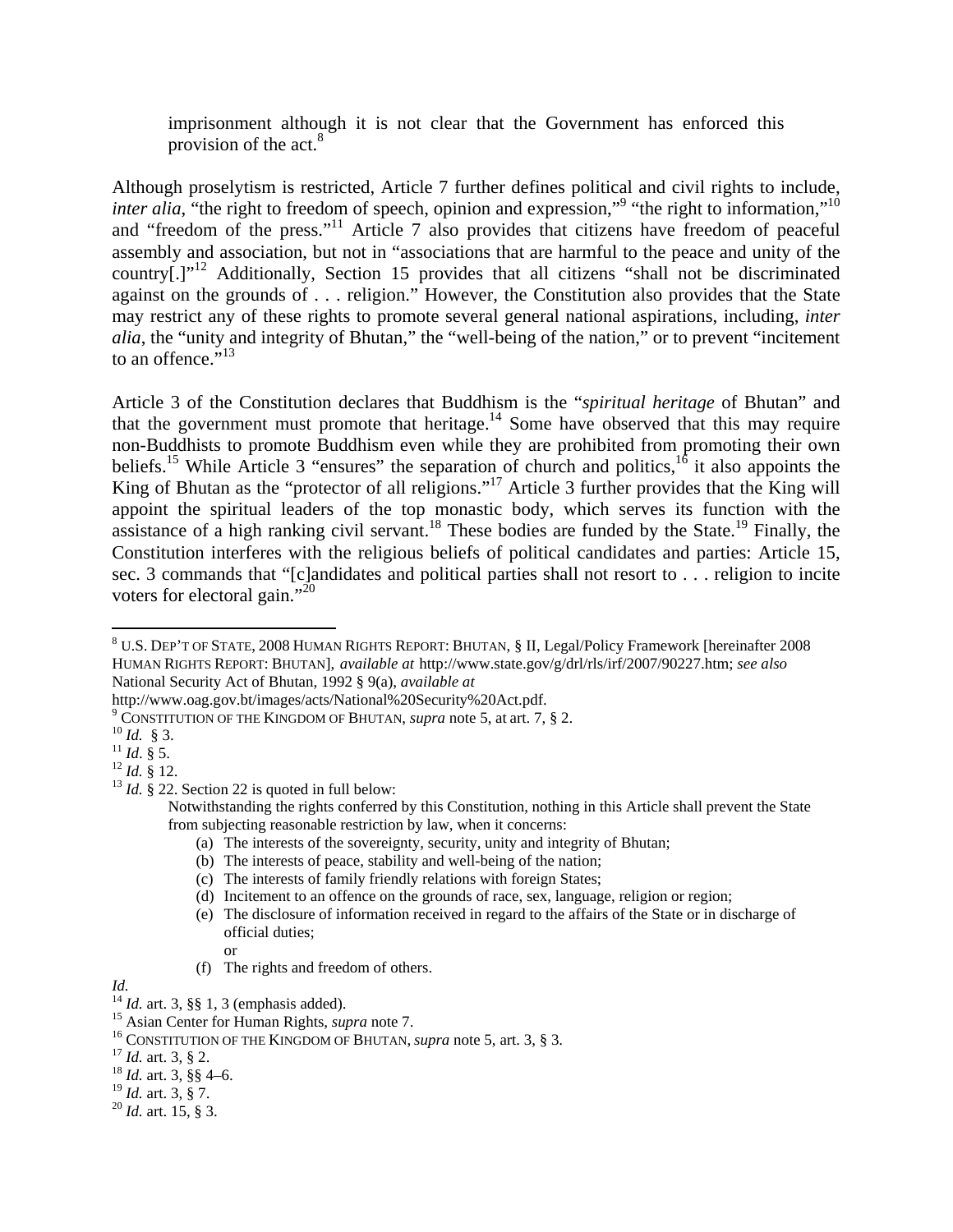imprisonment although it is not clear that the Government has enforced this provision of the act.<sup>8</sup>

Although proselytism is restricted, Article 7 further defines political and civil rights to include, *inter alia*, "the right to freedom of speech, opinion and expression,"<sup>9</sup> "the right to information,"<sup>10</sup> and "freedom of the press."11 Article 7 also provides that citizens have freedom of peaceful assembly and association, but not in "associations that are harmful to the peace and unity of the country<sup>[1]"</sup> Additionally, Section 15 provides that all citizens "shall not be discriminated against on the grounds of . . . religion." However, the Constitution also provides that the State may restrict any of these rights to promote several general national aspirations, including, *inter alia*, the "unity and integrity of Bhutan," the "well-being of the nation," or to prevent "incitement to an offence." $^{13}$ 

Article 3 of the Constitution declares that Buddhism is the "*spiritual heritage* of Bhutan" and that the government must promote that heritage.<sup>14</sup> Some have observed that this may require non-Buddhists to promote Buddhism even while they are prohibited from promoting their own beliefs.<sup>15</sup> While Article 3 "ensures" the separation of church and politics,<sup>16</sup> it also appoints the King of Bhutan as the "protector of all religions."<sup>17</sup> Article 3 further provides that the King will appoint the spiritual leaders of the top monastic body, which serves its function with the assistance of a high ranking civil servant.<sup>18</sup> These bodies are funded by the State.<sup>19</sup> Finally, the Constitution interferes with the religious beliefs of political candidates and parties: Article 15, sec. 3 commands that "[c]andidates and political parties shall not resort to . . . religion to incite voters for electoral gain."<sup>20</sup>

- (a) The interests of the sovereignty, security, unity and integrity of Bhutan;
- (b) The interests of peace, stability and well-being of the nation;

(d) Incitement to an offence on the grounds of race, sex, language, religion or region;

or

<sup>19</sup> *Id.* art. 3, § 7. 20 *Id.* art. 15, § 3.

 $\overline{a}$ <sup>8</sup> U.S. DEP'T OF STATE, 2008 HUMAN RIGHTS REPORT: BHUTAN, § II, Legal/Policy Framework [hereinafter 2008 HUMAN RIGHTS REPORT: BHUTAN], *available at* http://www.state.gov/g/drl/rls/irf/2007/90227.htm; *see also* National Security Act of Bhutan, 1992 § 9(a), *available at*

http://www.oag.gov.bt/images/acts/National%20Security%20Act.pdf. 9

<sup>&</sup>lt;sup>9</sup> CONSTITUTION OF THE KINGDOM OF BHUTAN, *supra* note 5, at art. 7, § 2. <sup>10</sup> *Id.* § 3.<br><sup>11</sup> *Id.* § 5. <sup>12</sup> *Id.* § 12. <sup>13</sup> *Id.* § 22. Section 22 is quoted in full below:

Notwithstanding the rights conferred by this Constitution, nothing in this Article shall prevent the State from subjecting reasonable restriction by law, when it concerns:

<sup>(</sup>c) The interests of family friendly relations with foreign States;

<sup>(</sup>e) The disclosure of information received in regard to the affairs of the State or in discharge of official duties;

<sup>(</sup>f) The rights and freedom of others.

*Id. I<sup>4</sup> <i>Id.* art. 3, §§ 1, 3 (emphasis added).

<sup>&</sup>lt;sup>15</sup> Asian Center for Human Rights, *supra* note 7.<br><sup>16</sup> CONSTITUTION OF THE KINGDOM OF BHUTAN, *supra* note 5, art. 3, § 3.<br><sup>17</sup> Id. art. 3, § 2.<br><sup>18</sup> Id. art. 3, § 4–6.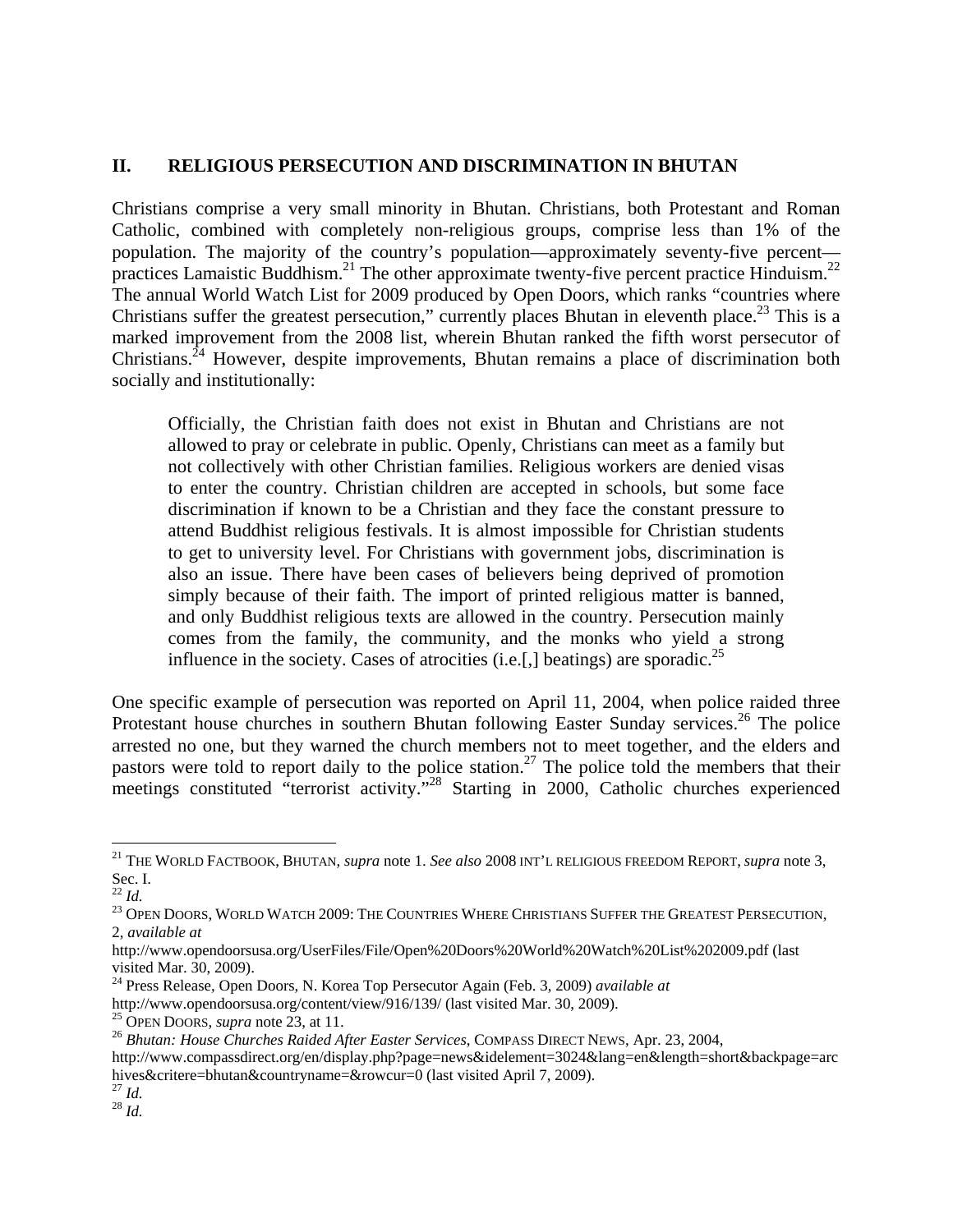### **II. RELIGIOUS PERSECUTION AND DISCRIMINATION IN BHUTAN**

Christians comprise a very small minority in Bhutan. Christians, both Protestant and Roman Catholic, combined with completely non-religious groups, comprise less than 1% of the population. The majority of the country's population—approximately seventy-five percent practices Lamaistic Buddhism.<sup>21</sup> The other approximate twenty-five percent practice Hinduism.<sup>22</sup> The annual World Watch List for 2009 produced by Open Doors, which ranks "countries where Christians suffer the greatest persecution," currently places Bhutan in eleventh place.<sup>23</sup> This is a marked improvement from the 2008 list, wherein Bhutan ranked the fifth worst persecutor of Christians.<sup>24</sup> However, despite improvements, Bhutan remains a place of discrimination both socially and institutionally:

Officially, the Christian faith does not exist in Bhutan and Christians are not allowed to pray or celebrate in public. Openly, Christians can meet as a family but not collectively with other Christian families. Religious workers are denied visas to enter the country. Christian children are accepted in schools, but some face discrimination if known to be a Christian and they face the constant pressure to attend Buddhist religious festivals. It is almost impossible for Christian students to get to university level. For Christians with government jobs, discrimination is also an issue. There have been cases of believers being deprived of promotion simply because of their faith. The import of printed religious matter is banned, and only Buddhist religious texts are allowed in the country. Persecution mainly comes from the family, the community, and the monks who yield a strong influence in the society. Cases of atrocities (i.e. [,] beatings) are sporadic.<sup>25</sup>

One specific example of persecution was reported on April 11, 2004, when police raided three Protestant house churches in southern Bhutan following Easter Sunday services.<sup>26</sup> The police arrested no one, but they warned the church members not to meet together, and the elders and pastors were told to report daily to the police station.<sup>27</sup> The police told the members that their meetings constituted "terrorist activity."<sup>28</sup> Starting in 2000, Catholic churches experienced

1

<sup>21</sup> THE WORLD FACTBOOK, BHUTAN, *supra* note 1. *See also* 2008 INT'L RELIGIOUS FREEDOM REPORT, *supra* note 3, Sec. I.<br> $^{22}$  *Id.* 

<sup>&</sup>lt;sup>23</sup> OPEN DOORS, WORLD WATCH 2009: THE COUNTRIES WHERE CHRISTIANS SUFFER THE GREATEST PERSECUTION, 2, *available at* 

http://www.opendoorsusa.org/UserFiles/File/Open%20Doors%20World%20Watch%20List%202009.pdf (last visited Mar. 30, 2009).

<sup>&</sup>lt;sup>24</sup> Press Release, Open Doors, N. Korea Top Persecutor Again (Feb. 3, 2009) *available at* http://www.opendoorsusa.org/content/view/916/139/ (last visited Mar. 30, 2009).

<sup>&</sup>lt;sup>25</sup> OPEN DOORS, *supra* note 23, at 11.<br><sup>26</sup> Bhutan: House Churches Raided After Easter Services, COMPASS DIRECT NEWS, Apr. 23, 2004,

http://www.compassdirect.org/en/display.php?page=news&idelement=3024&lang=en&length=short&backpage=arc hives&critere=bhutan&countryname=&rowcur=0 (last visited April 7, 2009). 27 *Id.* <sup>28</sup> *Id.*